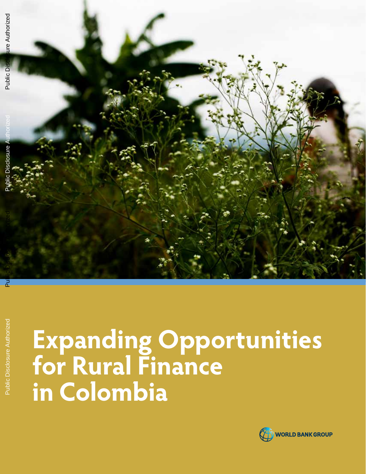

# **Expanding Opportunities for Rural Finance in Colombia**

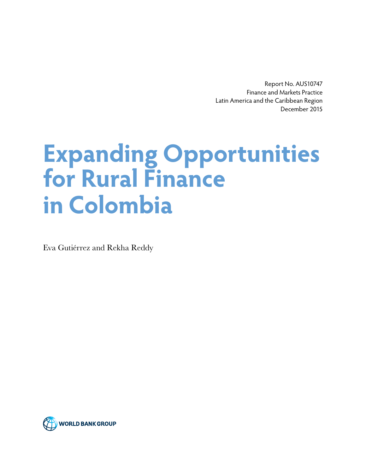Report No. AUS10747 Finance and Markets Practice Latin America and the Caribbean Region December 2015

# **Expanding Opportunities for Rural Finance in Colombia**

Eva Gutiérrez and Rekha Reddy

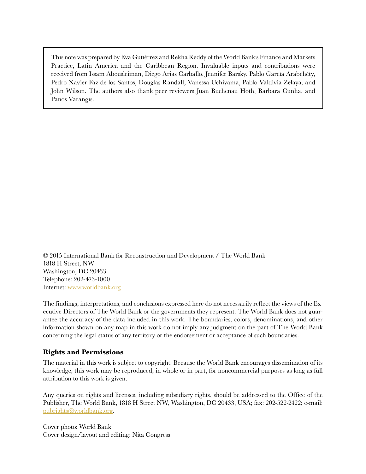This note was prepared by Eva Gutiérrez and Rekha Reddy of the World Bank's Finance and Markets Practice, Latin America and the Caribbean Region. Invaluable inputs and contributions were received from Issam Abousleiman, Diego Arias Carballo, Jennifer Barsky, Pablo García Arabéhéty, Pedro Xavier Faz de los Santos, Douglas Randall, Vanessa Uchiyama, Pablo Valdivia Zelaya, and John Wilson. The authors also thank peer reviewers Juan Buchenau Hoth, Barbara Cunha, and Panos Varangis.

© 2015 International Bank for Reconstruction and Development / The World Bank 1818 H Street, NW Washington, DC 20433 Telephone: 202-473-1000 Internet:<www.worldbank.org>

The findings, interpretations, and conclusions expressed here do not necessarily reflect the views of the Executive Directors of The World Bank or the governments they represent. The World Bank does not guarantee the accuracy of the data included in this work. The boundaries, colors, denominations, and other information shown on any map in this work do not imply any judgment on the part of The World Bank concerning the legal status of any territory or the endorsement or acceptance of such boundaries.

#### **Rights and Permissions**

The material in this work is subject to copyright. Because the World Bank encourages dissemination of its knowledge, this work may be reproduced, in whole or in part, for noncommercial purposes as long as full attribution to this work is given.

Any queries on rights and licenses, including subsidiary rights, should be addressed to the Office of the Publisher, The World Bank, 1818 H Street NW, Washington, DC 20433, USA; fax: 202-522-2422; e-mail: [pubrights@worldbank.org](mailto:pubrights@worldbank.org).

Cover photo: World Bank Cover design/layout and editing: Nita Congress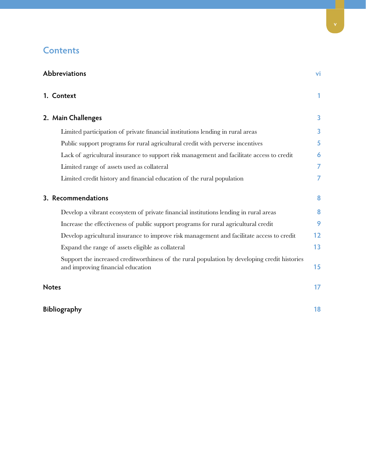## **Contents**

| Abbreviations                                                                                                                      |                |  |  |  |
|------------------------------------------------------------------------------------------------------------------------------------|----------------|--|--|--|
| 1. Context                                                                                                                         | 1              |  |  |  |
| 2. Main Challenges                                                                                                                 | 3              |  |  |  |
| Limited participation of private financial institutions lending in rural areas                                                     | 3              |  |  |  |
| Public support programs for rural agricultural credit with perverse incentives                                                     | 5              |  |  |  |
| Lack of agricultural insurance to support risk management and facilitate access to credit                                          | 6              |  |  |  |
| Limited range of assets used as collateral                                                                                         | $\overline{7}$ |  |  |  |
| Limited credit history and financial education of the rural population                                                             | 7              |  |  |  |
| 3. Recommendations                                                                                                                 | 8              |  |  |  |
| Develop a vibrant ecosystem of private financial institutions lending in rural areas                                               | 8              |  |  |  |
| Increase the effectiveness of public support programs for rural agricultural credit                                                | 9              |  |  |  |
| Develop agricultural insurance to improve risk management and facilitate access to credit                                          | 12             |  |  |  |
| Expand the range of assets eligible as collateral                                                                                  | 13             |  |  |  |
| Support the increased creditworthiness of the rural population by developing credit histories<br>and improving financial education | 15             |  |  |  |
| <b>Notes</b>                                                                                                                       | 17             |  |  |  |
| Bibliography                                                                                                                       | 18             |  |  |  |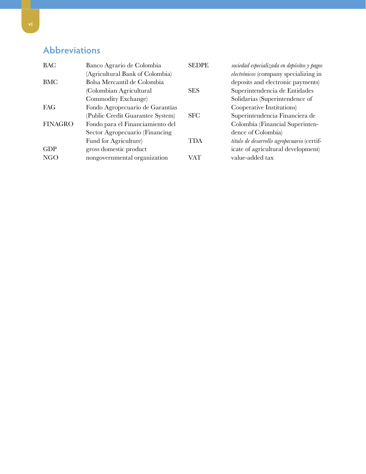# <span id="page-5-0"></span>**Abbreviations**

| <b>BAC</b>     | Banco Agrario de Colombia        | <b>SEDPE</b> | sociedad especializada en depósitos y pagos |
|----------------|----------------------------------|--------------|---------------------------------------------|
|                | (Agricultural Bank of Colombia)  |              | electrónicos (company specializing in       |
| <b>BMC</b>     | Bolsa Mercantil de Colombia      |              | deposits and electronic payments)           |
|                | (Colombian Agricultural          | <b>SES</b>   | Superintendencia de Entidades               |
|                | Commodity Exchange)              |              | Solidarias (Superintendence of              |
| <b>FAG</b>     | Fondo Agropecuario de Garantías  |              | Cooperative Institutions)                   |
|                | (Public Credit Guarantee System) | <b>SFC</b>   | Superintendencia Financiera de              |
| <b>FINAGRO</b> | Fondo para el Financiamiento del |              | Colombia (Financial Superinten-             |
|                | Sector Agropecuario (Financing   |              | dence of Colombia)                          |
|                | Fund for Agriculture)            | TDA          | titulo de desarrollo agropecuario (certif-  |
| <b>GDP</b>     | gross domestic product           |              | icate of agricultural development)          |
| <b>NGO</b>     | nongovernmental organization     | VAT          | value-added tax                             |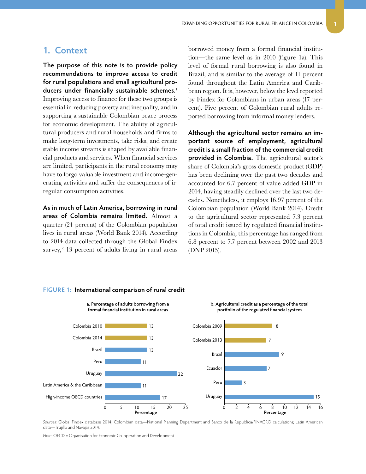#### <span id="page-6-0"></span>**1. Context**

**The purpose of this note is to provide policy recommendations to improve access to credit for rural populations and small agricultural producers under financially sustainable schemes.**<sup>1</sup> Improving access to finance for these two groups is essential in reducing poverty and inequality, and in supporting a sustainable Colombian peace process for economic development. The ability of agricultural producers and rural households and firms to make long-term investments, take risks, and create stable income streams is shaped by available financial products and services. When financial services are limited, participants in the rural economy may have to forgo valuable investment and income-generating activities and suffer the consequences of irregular consumption activities.

**As in much of Latin America, borrowing in rural areas of Colombia remains limited.** Almost a quarter (24 percent) of the Colombian population lives in rural areas (World Bank 2014). According to 2014 data collected through the Global Findex  $\text{survey,}^2$  13 percent of adults living in rural areas borrowed money from a formal financial institution—the same level as in 2010 (figure 1a). This level of formal rural borrowing is also found in Brazil, and is similar to the average of 11 percent found throughout the Latin America and Caribbean region. It is, however, below the level reported by Findex for Colombians in urban areas (17 percent). Five percent of Colombian rural adults reported borrowing from informal money lenders.

**Although the agricultural sector remains an important source of employment, agricultural credit is a small fraction of the commercial credit provided in Colombia.** The agricultural sector's share of Colombia's gross domestic product (GDP) has been declining over the past two decades and accounted for 6.7 percent of value added GDP in 2014, having steadily declined over the last two decades. Nonetheless, it employs 16.97 percent of the Colombian population (World Bank 2014). Credit to the agricultural sector represented 7.3 percent of total credit issued by regulated financial institutions in Colombia; this percentage has ranged from 6.8 percent to 7.7 percent between 2002 and 2013 (DNP 2015).



#### **FIGURE 1: International comparison of rural credit**

*Sources:* Global Findex database 2014; Colombian data—National Planning Department and Banco de la Republica/FINAGRO calculations; Latin American data—Trujillo and Navajas 2014.

*Note:* OECD = Organisation for Economic Co-operation and Development.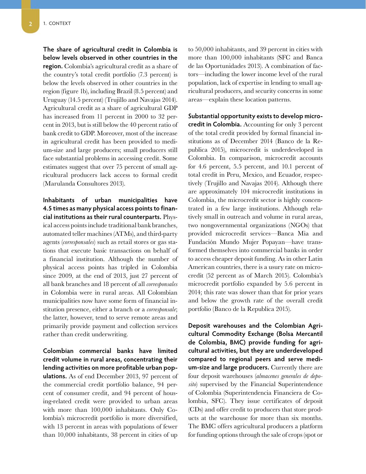**The share of agricultural credit in Colombia is below levels observed in other countries in the region.** Colombia's agricultural credit as a share of the country's total credit portfolio (7.3 percent) is below the levels observed in other countries in the region (figure 1b), including Brazil (8.5 percent) and Uruguay (14.5 percent) (Trujillo and Navajas 2014). Agricultural credit as a share of agricultural GDP has increased from 11 percent in 2000 to 32 percent in 2013, but is still below the 40 percent ratio of bank credit to GDP. Moreover, most of the increase in agricultural credit has been provided to medium-size and large producers; small producers still face substantial problems in accessing credit. Some estimates suggest that over 75 percent of small agricultural producers lack access to formal credit (Marulanda Consultores 2013).

**Inhabitants of urban municipalities have 4.5 times as many physical access points to financial institutions as their rural counterparts.** Physical access points include traditional bank branches, automated teller machines (ATMs), and third-party agents (*corresponsales*) such as retail stores or gas stations that execute basic transactions on behalf of a financial institution. Although the number of physical access points has tripled in Colombia since 2009, at the end of 2013, just 27 percent of all bank branches and 18 percent of all *corresponsales* in Colombia were in rural areas. All Colombian municipalities now have some form of financial institution presence, either a branch or a *corresponsale*; the latter, however, tend to serve remote areas and primarily provide payment and collection services rather than credit underwriting.

**Colombian commercial banks have limited credit volume in rural areas, concentrating their lending activities on more profitable urban populations.** As of end December 2013, 97 percent of the commercial credit portfolio balance, 94 percent of consumer credit, and 94 percent of housing-related credit were provided to urban areas with more than 100,000 inhabitants. Only Colombia's microcredit portfolio is more diversified, with 13 percent in areas with populations of fewer than 10,000 inhabitants, 38 percent in cities of up

to 50,000 inhabitants, and 39 percent in cities with more than 100,000 inhabitants (SFC and Banca de las Oportunidades 2013). A combination of factors—including the lower income level of the rural population, lack of expertise in lending to small agricultural producers, and security concerns in some areas—explain these location patterns.

**Substantial opportunity exists to develop microcredit in Colombia.** Accounting for only 3 percent of the total credit provided by formal financial institutions as of December 2014 (Banco de la Republica 2015), microcredit is underdeveloped in Colombia. In comparison, microcredit accounts for 4.6 percent, 5.5 percent, and 10.1 percent of total credit in Peru, Mexico, and Ecuador, respectively (Trujillo and Navajas 2014). Although there are approximately 104 microcredit institutions in Colombia, the microcredit sector is highly concentrated in a few large institutions. Although relatively small in outreach and volume in rural areas, two nongovernmental organizations (NGOs) that provided microcredit services—Banca Mia and Fundación Mundo Mujer Popayan—have transformed themselves into commercial banks in order to access cheaper deposit funding. As in other Latin American countries, there is a usury rate on microcredit (52 percent as of March 2015). Colombia's microcredit portfolio expanded by 5.6 percent in 2014; this rate was slower than that for prior years and below the growth rate of the overall credit portfolio (Banco de la Republica 2015).

**Deposit warehouses and the Colombian Agricultural Commodity Exchange (Bolsa Mercantil de Colombia, BMC) provide funding for agricultural activities, but they are underdeveloped compared to regional peers and serve medium-size and large producers.** Currently there are four deposit warehouses (*almacenes generales de deposito*) supervised by the Financial Superintendence of Colombia (Superintendencia Financiera de Colombia, SFC). They issue certificates of deposit (CDs) and offer credit to producers that store products at the warehouse for more than six months. The BMC offers agricultural producers a platform for funding options through the sale of crops (spot or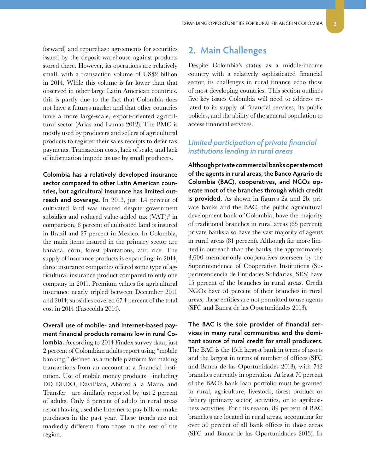<span id="page-8-0"></span>forward) and repurchase agreements for securities issued by the deposit warehouse against products stored there. However, its operations are relatively small, with a transaction volume of US\$2 billion in 2014. While this volume is far lower than that observed in other large Latin American countries, this is partly due to the fact that Colombia does not have a futures market and that other countries have a more large-scale, export-oriented agricultural sector (Arias and Lamas 2012). The BMC is mostly used by producers and sellers of agricultural products to register their sales receipts to defer tax payments. Transaction costs, lack of scale, and lack of information impede its use by small producers.

**Colombia has a relatively developed insurance sector compared to other Latin American countries, but agricultural insurance has limited outreach and coverage.** In 2013, just 1.4 percent of cultivated land was insured despite government subsidies and reduced value-added tax  $(VAT);$ <sup>3</sup> in comparison, 8 percent of cultivated land is insured in Brazil and 27 percent in Mexico. In Colombia, the main items insured in the primary sector are banana, corn, forest plantations, and rice. The supply of insurance products is expanding: in 2014, three insurance companies offered some type of agricultural insurance product compared to only one company in 2011. Premium values for agricultural insurance nearly tripled between December 2011 and 2014; subsidies covered 67.4 percent of the total cost in 2014 (Fasecolda 2014).

**Overall use of mobile- and Internet-based payment financial products remains low in rural Colombia.** According to 2014 Findex survey data, just 2 percent of Colombian adults report using "mobile banking," defined as a mobile platform for making transactions from an account at a financial institution. Use of mobile money products—including DD DEDO, DaviPlata, Ahorro a la Mano, and Transfer—are similarly reported by just 2 percent of adults. Only 6 percent of adults in rural areas report having used the Internet to pay bills or make purchases in the past year. These trends are not markedly different from those in the rest of the region.

### **2. Main Challenges**

Despite Colombia's status as a middle-income country with a relatively sophisticated financial sector, its challenges in rural finance echo those of most developing countries. This section outlines five key issues Colombia will need to address related to its supply of financial services, its public policies, and the ability of the general population to access financial services.

#### *Limited participation of private financial institutions lending in rural areas*

**Although private commercial banks operate most of the agents in rural areas, the Banco Agrario de Colombia (BAC), cooperatives, and NGOs operate most of the branches through which credit is provided.** As shown in figures 2a and 2b, private banks and the BAC, the public agricultural development bank of Colombia, have the majority of traditional branches in rural areas (65 percent); private banks also have the vast majority of agents in rural areas (81 percent). Although far more limited in outreach than the banks, the approximately 3,600 member-only cooperatives overseen by the Superintendence of Cooperative Institutions (Superintendencia de Entidades Solidarias, SES) have 15 percent of the branches in rural areas. Credit NGOs have 51 percent of their branches in rural areas; these entities are not permitted to use agents (SFC and Banca de las Oportunidades 2013).

**The BAC is the sole provider of financial services in many rural communities and the dominant source of rural credit for small producers.** The BAC is the 15th largest bank in terms of assets and the largest in terms of number of offices (SFC and Banca de las Oportunidades 2013), with 742 branches currently in operation. At least 70 percent of the BAC's bank loan portfolio must be granted to rural, agriculture, livestock, forest product or fishery (primary sector) activities, or to agribusiness activities. For this reason, 89 percent of BAC branches are located in rural areas, accounting for over 50 percent of all bank offices in those areas (SFC and Banca de las Oportunidades 2013). In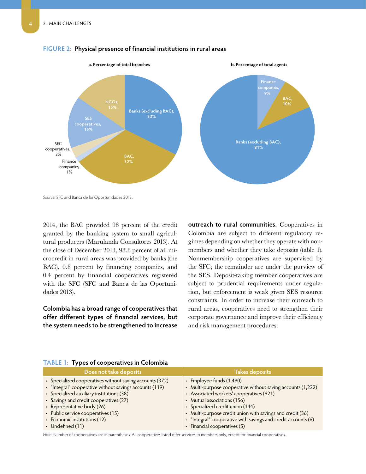

#### **FIGURE 2: Physical presence of financial institutions in rural areas**

*Source:* SFC and Banca de las Oportunidades 2013.

2014, the BAC provided 98 percent of the credit granted by the banking system to small agricultural producers (Marulanda Consultores 2013). At the close of December 2013, 98.8 percent of all microcredit in rural areas was provided by banks (the BAC), 0.8 percent by financing companies, and 0.4 percent by financial cooperatives registered with the SFC (SFC and Banca de las Oportunidades 2013).

**Colombia has a broad range of cooperatives that offer different types of financial services, but the system needs to be strengthened to increase** 

**outreach to rural communities.** Cooperatives in Colombia are subject to different regulatory regimes depending on whether they operate with nonmembers and whether they take deposits (table 1). Nonmembership cooperatives are supervised by the SFC; the remainder are under the purview of the SES. Deposit-taking member cooperatives are subject to prudential requirements under regulation, but enforcement is weak given SES resource constraints. In order to increase their outreach to rural areas, cooperatives need to strengthen their corporate governance and improve their efficiency and risk management procedures.

| Does not take deposits                                                                                                                                                                                                                   | <b>Takes deposits</b>                                                                                                                                                                                  |  |  |  |
|------------------------------------------------------------------------------------------------------------------------------------------------------------------------------------------------------------------------------------------|--------------------------------------------------------------------------------------------------------------------------------------------------------------------------------------------------------|--|--|--|
| • Specialized cooperatives without saving accounts (372)<br>• "Integral" cooperative without savings accounts (119)<br>• Specialized auxiliary institutions (38)<br>• Savings and credit cooperatives (27)<br>• Representative body (26) | • Employee funds (1,490)<br>• Multi-purpose cooperative without saving accounts (1,222)<br>• Associated workers' cooperatives (621)<br>• Mutual associations (156)<br>• Specialized credit union (144) |  |  |  |
| • Public service cooperatives (15)<br>• Economic institutions (12)                                                                                                                                                                       | • Multi-purpose credit union with savings and credit (36)<br>• "Integral" cooperative with savings and credit accounts (6)                                                                             |  |  |  |
| $\cdot$ Undefined (11)                                                                                                                                                                                                                   | • Financial cooperatives (5)                                                                                                                                                                           |  |  |  |

#### **TABLE 1: Types of cooperatives in Colombia**

*Note:* Number of cooperatives are in parentheses. All cooperatives listed offer services to members only, except for financial cooperatives.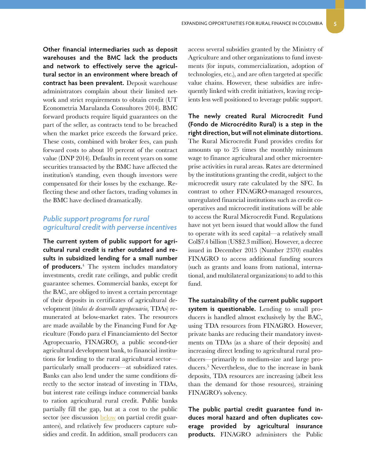<span id="page-10-0"></span>**Other financial intermediaries such as deposit warehouses and the BMC lack the products and network to effectively serve the agricultural sector in an environment where breach of contract has been prevalent.** Deposit warehouse administrators complain about their limited network and strict requirements to obtain credit (UT Econometria Marulanda Consultores 2014). BMC forward products require liquid guarantees on the part of the seller, as contracts tend to be breached when the market price exceeds the forward price. These costs, combined with broker fees, can push forward costs to about 10 percent of the contract value (DNP 2014). Defaults in recent years on some securities transacted by the BMC have affected the institution's standing, even though investors were compensated for their losses by the exchange. Reflecting these and other factors, trading volumes in the BMC have declined dramatically.

#### <span id="page-10-2"></span>*Public support programs for rural agricultural credit with perverse incentives*

**The current system of public support for agricultural rural credit is rather outdated and results in subsidized lending for a small number of producers.**<sup>4</sup> The system includes mandatory investments, credit rate ceilings, and public credit guarantee schemes. Commercial banks, except for the BAC, are obliged to invest a certain percentage of their deposits in certificates of agricultural development (*titulos de desarrollo agropecuario*, TDAs) remunerated at below-market rates. The resources are made available by the Financing Fund for Agriculture (Fondo para el Financiamiento del Sector Agropecuario, FINAGRO), a public second-tier agricultural development bank, to financial institutions for lending to the rural agricultural sector particularly small producers—at subsidized rates. Banks can also lend under the same conditions directly to the sector instead of investing in TDAs, but interest rate ceilings induce commercial banks to ration agricultural rural credit. Public banks partially fill the gap, but at a cost to the public sector (see discussion [below](#page-10-1) on partial credit guarantees), and relatively few producers capture subsidies and credit. In addition, small producers can

access several subsidies granted by the Ministry of Agriculture and other organizations to fund investments (for inputs, commercialization, adoption of technologies, etc.), and are often targeted at specific value chains. However, these subsidies are infrequently linked with credit initiatives, leaving recipients less well positioned to leverage public support.

**The newly created Rural Microcredit Fund (Fondo de Microcrédito Rural) is a step in the right direction, but will not eliminate distortions.** The Rural Microcredit Fund provides credits for amounts up to 25 times the monthly minimum wage to finance agricultural and other microenterprise activities in rural areas. Rates are determined by the institutions granting the credit, subject to the microcredit usury rate calculated by the SFC. In contrast to other FINAGRO-managed resources, unregulated financial institutions such as credit cooperatives and microcredit institutions will be able to access the Rural Microcredit Fund. Regulations have not yet been issued that would allow the fund to operate with its seed capital—a relatively small Col\$7.4 billion (US\$2.3 million). However, a decree issued in December 2015 (Number 2370) enables FINAGRO to access additional funding sources (such as grants and loans from national, international, and multilateral organizations) to add to this fund.

**The sustainability of the current public support system is questionable.** Lending to small producers is handled almost exclusively by the BAC, using TDA resources from FINAGRO. However, private banks are reducing their mandatory investments on TDAs (as a share of their deposits) and increasing direct lending to agricultural rural producers—primarily to medium-size and large producers.5 Nevertheless, due to the increase in bank deposits, TDA resources are increasing (albeit less than the demand for those resources), straining FINAGRO's solvency.

<span id="page-10-1"></span>**The public partial credit guarantee fund induces moral hazard and often duplicates coverage provided by agricultural insurance products.** FINAGRO administers the Public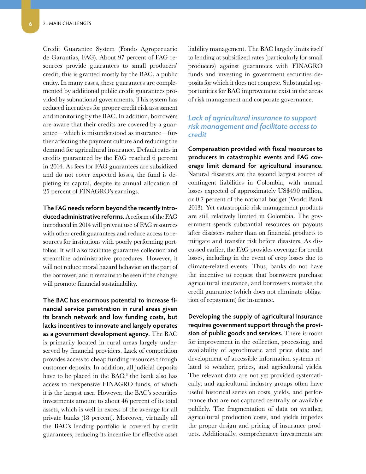<span id="page-11-0"></span>Credit Guarantee System (Fondo Agropecuario de Garantias, FAG). About 97 percent of FAG resources provide guarantees to small producers' credit; this is granted mostly by the BAC, a public entity. In many cases, these guarantees are complemented by additional public credit guarantees provided by subnational governments. This system has reduced incentives for proper credit risk assessment and monitoring by the BAC. In addition, borrowers are aware that their credits are covered by a guarantee—which is misunderstood as insurance—further affecting the payment culture and reducing the demand for agricultural insurance. Default rates in credits guaranteed by the FAG reached 6 percent in 2014. As fees for FAG guarantees are subsidized and do not cover expected losses, the fund is depleting its capital, despite its annual allocation of 25 percent of FINAGRO's earnings.

**The FAG needs reform beyond the recently introduced administrative reforms.** A reform of the FAG introduced in 2014 will prevent use of FAG resources with other credit guarantees and reduce access to resources for institutions with poorly performing portfolios. It will also facilitate guarantee collection and streamline administrative procedures. However, it will not reduce moral hazard behavior on the part of the borrower, and it remains to be seen if the changes will promote financial sustainability.

**The BAC has enormous potential to increase financial service penetration in rural areas given its branch network and low funding costs, but lacks incentives to innovate and largely operates as a government development agency.** The BAC is primarily located in rural areas largely underserved by financial providers. Lack of competition provides access to cheap funding resources through customer deposits. In addition, all judicial deposits have to be placed in the BAC;<sup>6</sup> the bank also has access to inexpensive FINAGRO funds, of which it is the largest user. However, the BAC's securities investments amount to about 46 percent of its total assets, which is well in excess of the average for all private banks (18 percent). Moreover, virtually all the BAC's lending portfolio is covered by credit guarantees, reducing its incentive for effective asset

liability management. The BAC largely limits itself to lending at subsidized rates (particularly for small producers) against guarantees with FINAGRO funds and investing in government securities deposits for which it does not compete. Substantial opportunities for BAC improvement exist in the areas of risk management and corporate governance.

#### *Lack of agricultural insurance to support risk management and facilitate access to credit*

**Compensation provided with fiscal resources to producers in catastrophic events and FAG coverage limit demand for agricultural insurance.** Natural disasters are the second largest source of contingent liabilities in Colombia, with annual losses expected of approximately US\$490 million, or 0.7 percent of the national budget (World Bank 2013). Yet catastrophic risk management products are still relatively limited in Colombia. The government spends substantial resources on payouts after disasters rather than on financial products to mitigate and transfer risk before disasters. As discussed earlier, the FAG provides coverage for credit losses, including in the event of crop losses due to climate-related events. Thus, banks do not have the incentive to request that borrowers purchase agricultural insurance, and borrowers mistake the credit guarantee (which does not eliminate obligation of repayment) for insurance.

**Developing the supply of agricultural insurance requires government support through the provision of public goods and services.** There is room for improvement in the collection, processing, and availability of agroclimatic and price data; and development of accessible information systems related to weather, prices, and agricultural yields. The relevant data are not yet provided systematically, and agricultural industry groups often have useful historical series on costs, yields, and performance that are not captured centrally or available publicly. The fragmentation of data on weather, agricultural production costs, and yields impedes the proper design and pricing of insurance products. Additionally, comprehensive investments are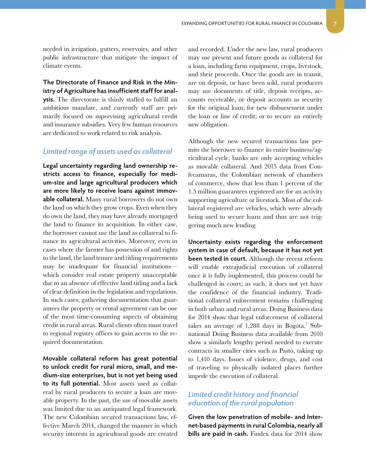<span id="page-12-0"></span>needed in irrigation, gutters, reservoirs, and other public infrastructure that mitigate the impact of climate events.

**The Directorate of Finance and Risk in the Ministry of Agriculture has insufficient staff for analysis.** The directorate is thinly staffed to fulfill an ambitious mandate, and currently staff are primarily focused on supervising agricultural credit and insurance subsidies. Very few human resources are dedicated to work related to risk analysis.

#### *Limited range of assets used as collateral*

**Legal uncertainty regarding land ownership restricts access to finance, especially for medium-size and large agricultural producers which are more likely to receive loans against immovable collateral.** Many rural borrowers do not own the land on which they grow crops. Even when they do own the land, they may have already mortgaged the land to finance its acquisition. In either case, the borrower cannot use the land as collateral to finance its agricultural activities. Moreover, even in cases where the farmer has possession of and rights to the land, the land tenure and titling requirements may be inadequate for financial institutions which consider real estate property unacceptable due to an absence of effective land titling and a lack of clear definition in the legislation and regulations. In such cases, gathering documentation that guarantees the property or rental agreement can be one of the most time-consuming aspects of obtaining credit in rural areas. Rural clients often must travel to regional registry offices to gain access to the required documentation.

**Movable collateral reform has great potential to unlock credit for rural micro, small, and medium-size enterprises, but is not yet being used to its full potential.** Most assets used as collateral by rural producers to secure a loan are movable property. In the past, the use of movable assets was limited due to an antiquated legal framework. The new Colombian secured transactions law, effective March 2014, changed the manner in which security interests in agricultural goods are created

and recorded. Under the new law, rural producers may use present and future goods as collateral for a loan, including farm equipment, crops, livestock, and their proceeds. Once the goods are in transit, are on deposit, or have been sold, rural producers may use documents of title, deposit receipts, accounts receivable, or deposit accounts as security for the original loan; for new disbursement under the loan or line of credit; or to secure an entirely new obligation.

Although the new secured transactions law permits the borrower to finance its entire business/agricultural cycle, banks are only accepting vehicles as movable collateral. And 2015 data from Confecamaras, the Colombian network of chambers of commerce, show that less than 1 percent of the 1.5 million guarantees registered are for an activity supporting agriculture or livestock. Most of the collateral registered are vehicles, which were already being used to secure loans and thus are not triggering much new lending.

**Uncertainty exists regarding the enforcement system in case of default, because it has not yet been tested in court.** Although the recent reform will enable extrajudicial execution of collateral once it is fully implemented, this process could be challenged in court; as such, it does not yet have the confidence of the financial industry. Traditional collateral enforcement remains challenging in both urban and rural areas. Doing Business data for 2014 show that legal enforcement of collateral takes an average of 1,288 days in Bogota.<sup>7</sup> Subnational Doing Business data available from 2010 show a similarly lengthy period needed to execute contracts in smaller cities such as Pasto, taking up to 1,410 days. Issues of violence, drugs, and cost of traveling to physically isolated places further impede the execution of collateral.

#### *Limited credit history and financial education of the rural population*

**Given the low penetration of mobile- and Internet-based payments in rural Colombia, nearly all bills are paid in cash.** Findex data for 2014 show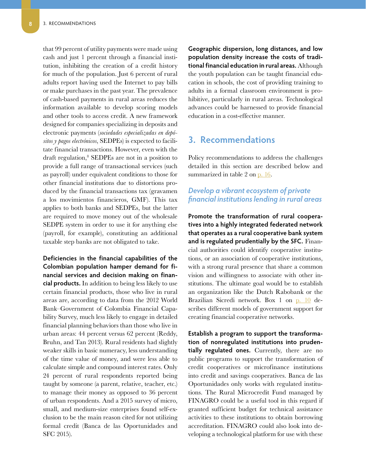<span id="page-13-0"></span>that 99 percent of utility payments were made using cash and just 1 percent through a financial institution, inhibiting the creation of a credit history for much of the population. Just 6 percent of rural adults report having used the Internet to pay bills or make purchases in the past year. The prevalence of cash-based payments in rural areas reduces the information available to develop scoring models and other tools to access credit. A new framework designed for companies specializing in deposits and electronic payments (*sociedades especializadas en depósitos y pagos electrónicos*, SEDPEs) is expected to facilitate financial transactions. However, even with the draft regulation,<sup>8</sup> SEDPEs are not in a position to provide a full range of transactional services (such as payroll) under equivalent conditions to those for other financial institutions due to distortions produced by the financial transactions tax (gravamen a los movimientos financieros, GMF). This tax applies to both banks and SEDPEs, but the latter are required to move money out of the wholesale SEDPE system in order to use it for anything else (payroll, for example), constituting an additional taxable step banks are not obligated to take.

**Deficiencies in the financial capabilities of the Colombian population hamper demand for financial services and decision making on financial products.** In addition to being less likely to use certain financial products, those who live in rural areas are, according to data from the 2012 World Bank–Government of Colombia Financial Capability Survey, much less likely to engage in detailed financial planning behaviors than those who live in urban areas: 44 percent versus 62 percent (Reddy, Bruhn, and Tan 2013). Rural residents had slightly weaker skills in basic numeracy, less understanding of the time value of money, and were less able to calculate simple and compound interest rates. Only 24 percent of rural respondents reported being taught by someone (a parent, relative, teacher, etc.) to manage their money as opposed to 36 percent of urban respondents. And a 2015 survey of micro, small, and medium-size enterprises found self-exclusion to be the main reason cited for not utilizing formal credit (Banca de las Oportunidades and SFC 2015).

**Geographic dispersion, long distances, and low population density increase the costs of traditional financial education in rural areas.** Although the youth population can be taught financial education in schools, the cost of providing training to adults in a formal classroom environment is prohibitive, particularly in rural areas. Technological advances could be harnessed to provide financial education in a cost-effective manner.

#### **3. Recommendations**

Policy recommendations to address the challenges detailed in this section are described below and summarized in table 2 on [p. 16.](#page-21-0)

#### *Develop a vibrant ecosystem of private financial institutions lending in rural areas*

**Promote the transformation of rural cooperatives into a highly integrated federated network that operates as a rural cooperative bank system and is regulated prudentially by the SFC.** Financial authorities could identify cooperative institutions, or an association of cooperative institutions, with a strong rural presence that share a common vision and willingness to associate with other institutions. The ultimate goal would be to establish an organization like the Dutch Rabobank or the Brazilian Sicredi network. Box 1 on p. 10 describes different models of government support for creating financial cooperative networks.

**Establish a program to support the transformation of nonregulated institutions into prudentially regulated ones.** Currently, there are no public programs to support the transformation of credit cooperatives or microfinance institutions into credit and savings cooperatives. Banca de las Oportunidades only works with regulated institutions. The Rural Microcredit Fund managed by FINAGRO could be a useful tool in this regard if granted sufficient budget for technical assistance activities to these institutions to obtain borrowing accreditation. FINAGRO could also look into developing a technological platform for use with these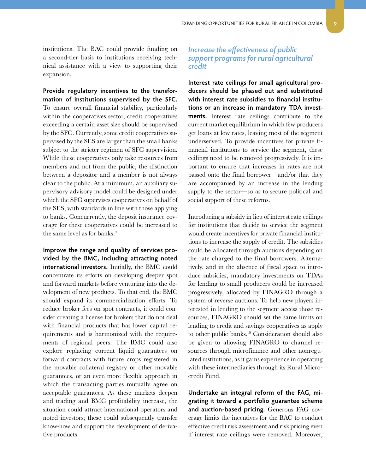<span id="page-14-0"></span>institutions. The BAC could provide funding on a second-tier basis to institutions receiving technical assistance with a view to supporting their expansion.

**Provide regulatory incentives to the transformation of institutions supervised by the SFC.** To ensure overall financial stability, particularly within the cooperatives sector, credit cooperatives exceeding a certain asset size should be supervised by the SFC. Currently, some credit cooperatives supervised by the SES are larger than the small banks subject to the stricter regimen of SFC supervision. While these cooperatives only take resources from members and not from the public, the distinction between a depositor and a member is not always clear to the public. At a minimum, an auxiliary supervisory advisory model could be designed under which the SFC supervises cooperatives on behalf of the SES, with standards in line with those applying to banks. Concurrently, the deposit insurance coverage for these cooperatives could be increased to the same level as for banks.<sup>9</sup>

**Improve the range and quality of services provided by the BMC, including attracting noted international investors.** Initially, the BMC could concentrate its efforts on developing deeper spot and forward markets before venturing into the development of new products. To that end, the BMC should expand its commercialization efforts. To reduce broker fees on spot contracts, it could consider creating a license for brokers that do not deal with financial products that has lower capital requirements and is harmonized with the requirements of regional peers. The BMC could also explore replacing current liquid guarantees on forward contracts with future crops registered in the movable collateral registry or other movable guarantees, or an even more flexible approach in which the transacting parties mutually agree on acceptable guarantees. As these markets deepen and trading and BMC profitability increase, the situation could attract international operators and noted investors; these could subsequently transfer know-how and support the development of derivative products.

#### *Increase the effectiveness of public support programs for rural agricultural credit*

**Interest rate ceilings for small agricultural producers should be phased out and substituted with interest rate subsidies to financial institutions or an increase in mandatory TDA investments.** Interest rate ceilings contribute to the current market equilibrium in which few producers get loans at low rates, leaving most of the segment underserved. To provide incentives for private financial institutions to service the segment, these ceilings need to be removed progressively. It is important to ensure that increases in rates are not passed onto the final borrower—and/or that they are accompanied by an increase in the lending supply to the sector—so as to secure political and social support of these reforms.

Introducing a subsidy in lieu of interest rate ceilings for institutions that decide to service the segment would create incentives for private financial institutions to increase the supply of credit. The subsidies could be allocated through auctions depending on the rate charged to the final borrowers. Alternatively, and in the absence of fiscal space to introduce subsidies, mandatory investments on TDAs for lending to small producers could be increased progressively, allocated by FINAGRO through a system of reverse auctions. To help new players interested in lending to the segment access those resources, FINAGRO should set the same limits on lending to credit and savings cooperatives as apply to other public banks.10 Consideration should also be given to allowing FINAGRO to channel resources through microfinance and other nonregulated institutions, as it gains experience in operating with these intermediaries through its Rural Microcredit Fund.

<span id="page-14-1"></span>**Undertake an integral reform of the FAG, migrating it toward a portfolio guarantee scheme and auction-based pricing.** Generous FAG coverage limits the incentives for the BAC to conduct effective credit risk assessment and risk pricing even if interest rate ceilings were removed. Moreover,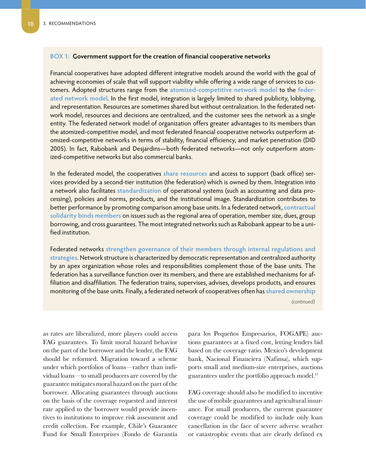#### **BOX 1: Government support for the creation of financial cooperative networks**

Financial cooperatives have adopted different integrative models around the world with the goal of achieving economies of scale that will support viability while offering a wide range of services to customers. Adopted structures range from the **atomized-competitive network model** to the **federated network model**. In the first model, integration is largely limited to shared publicity, lobbying, and representation. Resources are sometimes shared but without centralization. In the federated network model, resources and decisions are centralized, and the customer sees the network as a single entity. The federated network model of organization offers greater advantages to its members than the atomized-competitive model, and most federated financial cooperative networks outperform atomized-competitive networks in terms of stability, financial efficiency, and market penetration (DID 2005). In fact, Rabobank and Desjardins—both federated networks—not only outperform atomized-competitive networks but also commercial banks.

In the federated model, the cooperatives **share resources** and access to support (back office) services provided by a second-tier institution (the federation) which is owned by them. Integration into a network also facilitates **standardization** of operational systems (such as accounting and data processing), policies and norms, products, and the institutional image. Standardization contributes to better performance by promoting comparison among base units. In a federated network, **contractual solidarity binds members** on issues such as the regional area of operation, member size, dues, group borrowing, and cross guarantees. The most integrated networks such as Rabobank appear to be a unified institution.

Federated networks **strengthen governance of their members through internal regulations and strategies**. Network structure is characterized by democratic representation and centralized authority by an apex organization whose roles and responsibilities complement those of the base units. The federation has a surveillance function over its members, and there are established mechanisms for affiliation and disaffiliation. The federation trains, supervises, advises, develops products, and ensures monitoring of the base units. Finally, a federated network of cooperatives often has **shared ownership**

*(continued)*

as rates are liberalized, more players could access FAG guarantees. To limit moral hazard behavior on the part of the borrower and the lender, the FAG should be reformed. Migration toward a scheme under which portfolios of loans—rather than individual loans—to small producers are covered by the guarantee mitigates moral hazard on the part of the borrower. Allocating guarantees through auctions on the basis of the coverage requested and interest rate applied to the borrower would provide incentives to institutions to improve risk assessment and credit collection. For example, Chile's Guarantee Fund for Small Enterprises (Fondo de Garantía

para los Pequeños Empresarios, FOGAPE) auctions guarantees at a fixed cost, letting lenders bid based on the coverage ratio. Mexico's development bank, Nacional Financiera (Nafinsa), which supports small and medium-size enterprises, auctions guarantees under the portfolio approach model.<sup>11</sup>

FAG coverage should also be modified to incentive the use of mobile guarantees and agricultural insurance. For small producers, the current guarantee coverage could be modified to include only loan cancellation in the face of severe adverse weather or catastrophic events that are clearly defined ex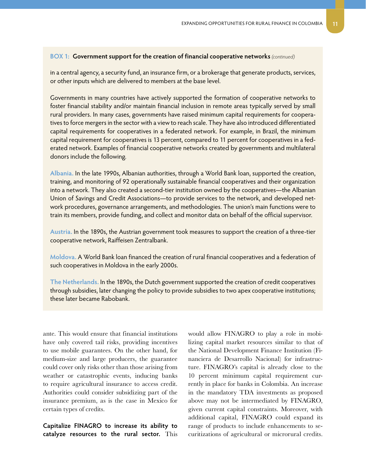#### **BOX 1: Government support for the creation of financial cooperative networks** *(continued)*

in a central agency, a security fund, an insurance firm, or a brokerage that generate products, services, or other inputs which are delivered to members at the base level.

Governments in many countries have actively supported the formation of cooperative networks to foster financial stability and/or maintain financial inclusion in remote areas typically served by small rural providers. In many cases, governments have raised minimum capital requirements for cooperatives to force mergers in the sector with a view to reach scale. They have also introduced differentiated capital requirements for cooperatives in a federated network. For example, in Brazil, the minimum capital requirement for cooperatives is 13 percent, compared to 11 percent for cooperatives in a federated network. Examples of financial cooperative networks created by governments and multilateral donors include the following.

**Albania.** In the late 1990s, Albanian authorities, through a World Bank loan, supported the creation, training, and monitoring of 92 operationally sustainable financial cooperatives and their organization into a network. They also created a second-tier institution owned by the cooperatives—the Albanian Union of Savings and Credit Associations—to provide services to the network, and developed network procedures, governance arrangements, and methodologies. The union's main functions were to train its members, provide funding, and collect and monitor data on behalf of the official supervisor.

**Austria.** In the 1890s, the Austrian government took measures to support the creation of a three-tier cooperative network, Raiffeisen Zentralbank.

**Moldova.** A World Bank loan financed the creation of rural financial cooperatives and a federation of such cooperatives in Moldova in the early 2000s.

**The Netherlands.** In the 1890s, the Dutch government supported the creation of credit cooperatives through subsidies, later changing the policy to provide subsidies to two apex cooperative institutions; these later became Rabobank.

ante. This would ensure that financial institutions have only covered tail risks, providing incentives to use mobile guarantees. On the other hand, for medium-size and large producers, the guarantee could cover only risks other than those arising from weather or catastrophic events, inducing banks to require agricultural insurance to access credit. Authorities could consider subsidizing part of the insurance premium, as is the case in Mexico for certain types of credits.

**Capitalize FINAGRO to increase its ability to catalyze resources to the rural sector.** This would allow FINAGRO to play a role in mobilizing capital market resources similar to that of the National Development Finance Institution (Financiera de Desarrollo Nacional) for infrastructure. FINAGRO's capital is already close to the 10 percent minimum capital requirement currently in place for banks in Colombia. An increase in the mandatory TDA investments as proposed above may not be intermediated by FINAGRO, given current capital constraints. Moreover, with additional capital, FINAGRO could expand its range of products to include enhancements to securitizations of agricultural or microrural credits.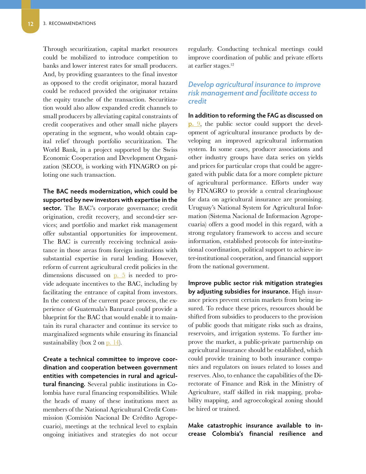<span id="page-17-0"></span>Through securitization, capital market resources could be mobilized to introduce competition to banks and lower interest rates for small producers. And, by providing guarantees to the final investor as opposed to the credit originator, moral hazard could be reduced provided the originator retains the equity tranche of the transaction. Securitization would also allow expanded credit channels to small producers by alleviating capital constraints of credit cooperatives and other small niche players operating in the segment, who would obtain capital relief through portfolio securitization. The World Bank, in a project supported by the Swiss Economic Cooperation and Development Organization (SECO), is working with FINAGRO on piloting one such transaction.

**The BAC needs modernization, which could be supported by new investors with expertise in the sector.** The BAC's corporate governance; credit origination, credit recovery, and second-tier services; and portfolio and market risk management offer substantial opportunities for improvement. The BAC is currently receiving technical assistance in those areas from foreign institutions with substantial expertise in rural lending. However, reform of current agricultural credit policies in the dimensions discussed on  $p. 5$  is needed to provide adequate incentives to the BAC, including by facilitating the entrance of capital from investors. In the context of the current peace process, the experience of Guatemala's Banrural could provide a blueprint for the BAC that would enable it to maintain its rural character and continue its service to marginalized segments while ensuring its financial sustainability (box 2 on  $p. 14$ ).

**Create a technical committee to improve coordination and cooperation between government entities with competencies in rural and agricultural financing.** Several public institutions in Colombia have rural financing responsibilities. While the heads of many of these institutions meet as members of the National Agricultural Credit Commission (Comisión Nacional De Crédito Agropecuario), meetings at the technical level to explain ongoing initiatives and strategies do not occur regularly. Conducting technical meetings could improve coordination of public and private efforts at earlier stages.12

#### *Develop agricultural insurance to improve risk management and facilitate access to credit*

**In addition to reforming the FAG as discussed on [p.](#page-14-1)** 9, the public sector could support the development of agricultural insurance products by developing an improved agricultural information system. In some cases, producer associations and other industry groups have data series on yields and prices for particular crops that could be aggregated with public data for a more complete picture of agricultural performance. Efforts under way by FINAGRO to provide a central clearinghouse for data on agricultural insurance are promising. Uruguay's National System for Agricultural Information (Sistema Nacional de Informacion Agropecuaria) offers a good model in this regard, with a strong regulatory framework to access and secure information, established protocols for inter-institutional coordination, political support to achieve inter-institutional cooperation, and financial support from the national government.

**Improve public sector risk mitigation strategies by adjusting subsidies for insurance.** High insurance prices prevent certain markets from being insured. To reduce these prices, resources should be shifted from subsidies to producers to the provision of public goods that mitigate risks such as drains, reservoirs, and irrigation systems. To further improve the market, a public-private partnership on agricultural insurance should be established, which could provide training to both insurance companies and regulators on issues related to losses and reserves. Also, to enhance the capabilities of the Directorate of Finance and Risk in the Ministry of Agriculture, staff skilled in risk mapping, probability mapping, and agroecological zoning should be hired or trained.

**Make catastrophic insurance available to increase Colombia's financial resilience and**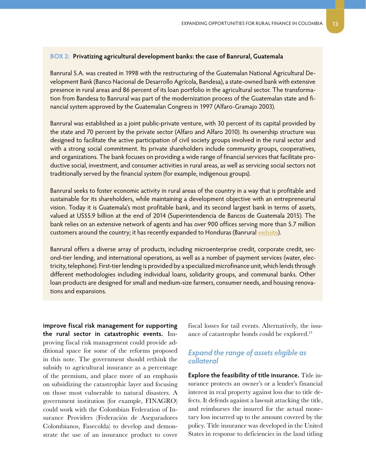#### <span id="page-18-0"></span>**BOX 2: Privatizing agricultural development banks: the case of Banrural, Guatemala**

Banrural S.A. was created in 1998 with the restructuring of the Guatemalan National Agricultural Development Bank (Banco Nacional de Desarrollo Agrícola, Bandesa), a state-owned bank with extensive presence in rural areas and 86 percent of its loan portfolio in the agricultural sector. The transformation from Bandesa to Banrural was part of the modernization process of the Guatemalan state and financial system approved by the Guatemalan Congress in 1997 (Alfaro-Gramajo 2003).

Banrural was established as a joint public-private venture, with 30 percent of its capital provided by the state and 70 percent by the private sector (Alfaro and Alfaro 2010). Its ownership structure was designed to facilitate the active participation of civil society groups involved in the rural sector and with a strong social commitment. Its private shareholders include community groups, cooperatives, and organizations. The bank focuses on providing a wide range of financial services that facilitate productive social, investment, and consumer activities in rural areas, as well as servicing social sectors not traditionally served by the financial system (for example, indigenous groups).

Banrural seeks to foster economic activity in rural areas of the country in a way that is profitable and sustainable for its shareholders, while maintaining a development objective with an entrepreneurial vision. Today it is Guatemala's most profitable bank, and its second largest bank in terms of assets, valued at US\$5.9 billion at the end of 2014 (Superintendencia de Bancos de Guatemala 2015). The bank relies on an extensive network of agents and has over 900 offices serving more than 5.7 million customers around the country; it has recently expanded to Honduras (Banrural [website](http://www.banrural.com.gt/banruralc/default.aspx#)).

Banrural offers a diverse array of products, including microenterprise credit, corporate credit, second-tier lending, and international operations, as well as a number of payment services (water, electricity, telephone). First-tier lending is provided by a specialized microfinance unit, which lends through different methodologies including individual loans, solidarity groups, and communal banks. Other loan products are designed for small and medium-size farmers, consumer needs, and housing renovations and expansions.

**improve fiscal risk management for supporting the rural sector in catastrophic events.** Improving fiscal risk management could provide additional space for some of the reforms proposed in this note. The government should rethink the subsidy to agricultural insurance as a percentage of the premium, and place more of an emphasis on subsidizing the catastrophic layer and focusing on those most vulnerable to natural disasters. A government institution (for example, FINAGRO) could work with the Colombian Federation of Insurance Providers (Federación de Aseguradores Colombianos, Fasecolda) to develop and demonstrate the use of an insurance product to cover

fiscal losses for tail events. Alternatively, the issuance of catastrophe bonds could be explored.13

#### *Expand the range of assets eligible as collateral*

**Explore the feasibility of title insurance.** Title insurance protects an owner's or a lender's financial interest in real property against loss due to title defects. It defends against a lawsuit attacking the title, and reimburses the insured for the actual monetary loss incurred up to the amount covered by the policy. Title insurance was developed in the United States in response to deficiencies in the land titling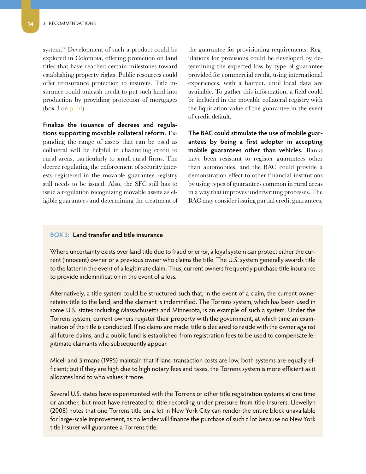system.14 Development of such a product could be explored in Colombia, offering protection on land titles that have reached certain milestones toward establishing property rights. Public resources could offer reinsurance protection to insurers. Title insurance could unleash credit to put such land into production by providing protection of mortgages (box 3 on  $p. 16$ ).

**Finalize the issuance of decrees and regulations supporting movable collateral reform.** Expanding the range of assets that can be used as collateral will be helpful in channeling credit to rural areas, particularly to small rural firms. The decree regulating the enforcement of security interests registered in the movable guarantee registry still needs to be issued. Also, the SFC still has to issue a regulation recognizing movable assets as eligible guarantees and determining the treatment of the guarantee for provisioning requirements. Regulations for provisions could be developed by determining the expected loss by type of guarantee provided for commercial credit, using international experiences, with a haircut, until local data are available. To gather this information, a field could be included in the movable collateral registry with the liquidation value of the guarantee in the event of credit default.

**The BAC could stimulate the use of mobile guarantees by being a first adopter in accepting mobile guarantees other than vehicles.** Banks have been resistant to register guarantees other than automobiles, and the BAC could provide a demonstration effect to other financial institutions by using types of guarantees common in rural areas in a way that improves underwriting processes. The BAC may consider issuing partial credit guarantees,

#### **BOX 3: Land transfer and title insurance**

Where uncertainty exists over land title due to fraud or error, a legal system can protect either the current (innocent) owner or a previous owner who claims the title. The U.S. system generally awards title to the latter in the event of a legitimate claim. Thus, current owners frequently purchase title insurance to provide indemnification in the event of a loss.

Alternatively, a title system could be structured such that, in the event of a claim, the current owner retains title to the land, and the claimant is indemnified. The Torrens system, which has been used in some U.S. states including Massachusetts and Minnesota, is an example of such a system. Under the Torrens system, current owners register their property with the government, at which time an examination of the title is conducted. If no claims are made, title is declared to reside with the owner against all future claims, and a public fund is established from registration fees to be used to compensate legitimate claimants who subsequently appear.

Miceli and Sirmans (1995) maintain that if land transaction costs are low, both systems are equally efficient; but if they are high due to high notary fees and taxes, the Torrens system is more efficient as it allocates land to who values it more.

Several U.S. states have experimented with the Torrens or other title registration systems at one time or another, but most have retreated to title recording under pressure from title insurers. Llewellyn (2008) notes that one Torrens title on a lot in New York City can render the entire block unavailable for large-scale improvement, as no lender will finance the purchase of such a lot because no New York title insurer will guarantee a Torrens title.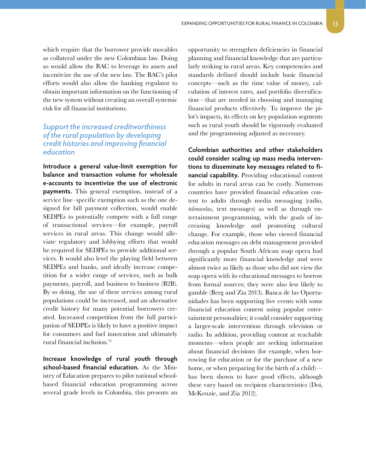<span id="page-20-0"></span>which require that the borrower provide movables as collateral under the new Colombian law. Doing so would allow the BAC to leverage its assets and incentivize the use of the new law. The BAC's pilot efforts would also allow the banking regulator to obtain important information on the functioning of the new system without creating an overall systemic risk for all financial institutions.

#### *Support the increased creditworthiness of the rural population by developing credit histories and improving financial education*

**Introduce a general value-limit exemption for balance and transaction volume for wholesale e-accounts to incentivize the use of electronic payments.** This general exemption, instead of a service line–specific exemption such as the one designed for bill payment collection, would enable SEDPEs to potentially compete with a full range of transactional services—for example, payroll services in rural areas. This change would alleviate regulatory and lobbying efforts that would be required for SEDPEs to provide additional services. It would also level the playing field between SEDPEs and banks, and ideally increase competition for a wider range of services, such as bulk payments, payroll, and business to business (B2B). By so doing, the use of these services among rural populations could be increased, and an alternative credit history for many potential borrowers created. Increased competition from the full participation of SEDPEs is likely to have a positive impact for consumers and fuel innovation and ultimately rural financial inclusion.15

**Increase knowledge of rural youth through school-based financial education.** As the Ministry of Education prepares to pilot national schoolbased financial education programming across several grade levels in Colombia, this presents an

opportunity to strengthen deficiencies in financial planning and financial knowledge that are particularly striking in rural areas. Key competencies and standards defined should include basic financial concepts—such as the time value of money, calculation of interest rates, and portfolio diversification—that are needed in choosing and managing financial products effectively. To improve the pilot's impacts, its effects on key population segments such as rural youth should be rigorously evaluated and the programming adjusted as necessary.

**Colombian authorities and other stakeholders could consider scaling up mass media interventions to disseminate key messages related to financial capability.** Providing educational content for adults in rural areas can be costly. Numerous countries have provided financial education content to adults through media messaging (radio, *telenovelas*, text messages) as well as through entertainment programming, with the goals of increasing knowledge and promoting cultural change. For example, those who viewed financial education messages on debt management provided through a popular South African soap opera had significantly more financial knowledge and were almost twice as likely as those who did not view the soap opera with its educational messages to borrow from formal sources; they were also less likely to gamble (Berg and Zia 2013). Banca de las Oportunidades has been supporting live events with some financial education content using popular entertainment personalities; it could consider supporting a larger-scale intervention through television or radio. In addition, providing content at teachable moments—when people are seeking information about financial decisions (for example, when borrowing for education or for the purchase of a new home, or when preparing for the birth of a child) has been shown to have good effects, although these vary based on recipient characteristics (Doi, McKenzie, and Zia 2012).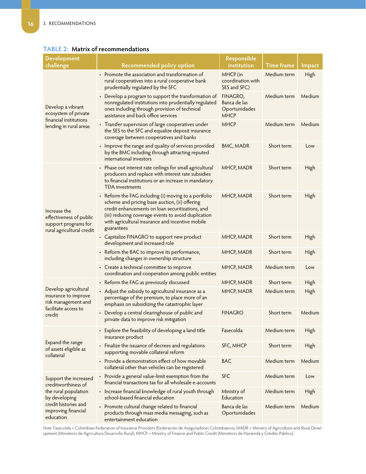| <b>Development</b>                                                                           |                                                                                                                                                                                                                                                                                     | Responsible                                              |                   |             |
|----------------------------------------------------------------------------------------------|-------------------------------------------------------------------------------------------------------------------------------------------------------------------------------------------------------------------------------------------------------------------------------------|----------------------------------------------------------|-------------------|-------------|
| challenge                                                                                    | <b>Recommended policy option</b>                                                                                                                                                                                                                                                    | institution                                              | <b>Time frame</b> | Impact      |
|                                                                                              | • Promote the association and transformation of<br>rural cooperatives into a rural cooperative bank<br>prudentially regulated by the SFC                                                                                                                                            | MHCP (in<br>coordination with<br>SES and SFC)            | Medium term       | High        |
| Develop a vibrant<br>ecosystem of private<br>financial institutions                          | • Develop a program to support the transformation of<br>nonregulated institutions into prudentially regulated<br>ones including through provision of technical<br>assistance and back office services                                                                               | FINAGRO,<br>Banca de las<br>Oportunidades<br><b>MHCP</b> | Medium term       | Medium      |
| lending in rural areas                                                                       | • Transfer supervision of large cooperatives under<br>the SES to the SFC and equalize deposit insurance<br>coverage between cooperatives and banks                                                                                                                                  | <b>MHCP</b>                                              | Medium term       | Medium      |
|                                                                                              | • Improve the range and quality of services provided<br>by the BMC including through attracting reputed<br>international investors                                                                                                                                                  | <b>BMC, MADR</b>                                         | Short term        | Low         |
|                                                                                              | • Phase out interest rate ceilings for small agricultural<br>producers and replace with interest rate subsidies<br>to financial institutions or an increase in mandatory<br><b>TDA</b> investments                                                                                  | MHCP, MADR                                               | Short term        | <b>High</b> |
| Increase the<br>effectiveness of public<br>support programs for<br>rural agricultural credit | • Reform the FAG including (i) moving to a portfolio<br>scheme and pricing base auction, (ii) offering<br>credit enhancements on loan securitizations, and<br>(iii) reducing coverage events to avoid duplication<br>with agricultural insurance and incentive mobile<br>guarantees | MHCP, MADR                                               | Short term        | <b>High</b> |
|                                                                                              | • Capitalize FINAGRO to support new product<br>development and increased role                                                                                                                                                                                                       | MHCP, MADR                                               | Short term        | High        |
|                                                                                              | • Reform the BAC to improve its performance,<br>including changes in ownership structure                                                                                                                                                                                            | MHCP, MADR                                               | Short term        | High        |
|                                                                                              | • Create a technical committee to improve<br>coordination and cooperation among public entities                                                                                                                                                                                     | MHCP, MADR                                               | Medium term       | Low         |
|                                                                                              | • Reform the FAG as previously discussed                                                                                                                                                                                                                                            | MHCP, MADR                                               | Short term        | <b>High</b> |
| Develop agricultural<br>insurance to improve<br>risk management and                          | • Adjust the subsidy to agricultural insurance as a<br>percentage of the premium, to place more of an<br>emphasis on subsidizing the catastrophic layer                                                                                                                             | MHCP, MADR                                               | Medium term       | High        |
| facilitate access to<br>credit                                                               | Develop a central clearinghouse of public and<br>private data to improve risk mitigation                                                                                                                                                                                            | <b>FINAGRO</b>                                           | Short term        | Medium      |
|                                                                                              | Explore the feasibility of developing a land title<br>insurance product                                                                                                                                                                                                             | Fasecolda                                                | Medium term       | <b>High</b> |
| Expand the range<br>of assets eligible as<br>collateral                                      | • Finalize the issuance of decrees and regulations<br>supporting movable collateral reform                                                                                                                                                                                          | SFC, MHCP                                                | Short term        | High        |
|                                                                                              | • Provide a demonstration effect of how movable<br>collateral other than vehicles can be registered                                                                                                                                                                                 | <b>BAC</b>                                               | Medium term       | Medium      |
| Support the increased<br>creditworthiness of                                                 | • Provide a general value-limit exemption from the<br>financial transactions tax for all wholesale e-accounts                                                                                                                                                                       | <b>SFC</b>                                               | Medium term       | Low         |
| the rural population<br>by developing                                                        | Increase financial knowledge of rural youth through<br>$\bullet$<br>school-based financial education                                                                                                                                                                                | Ministry of<br>Education                                 | Medium term       | High        |
| credit histories and<br>improving financial<br>education                                     | • Promote cultural change related to financial<br>products through mass media messaging, such as<br>entertainment education                                                                                                                                                         | Banca de las<br>Oportunidades                            | Medium term       | Medium      |

#### <span id="page-21-0"></span>**TABLE 2: Matrix of recommendations**

*Note:* Fasecolda = Colombian Federation of Insurance Providers (Federación de Aseguradores Colombianos), MADR = Ministry of Agriculture and Rural Development (Ministerio de Agricultura Desarrollo Rural); MHCP = Ministry of Finance and Public Credit (Ministerio de Hacienda y Crédito Público).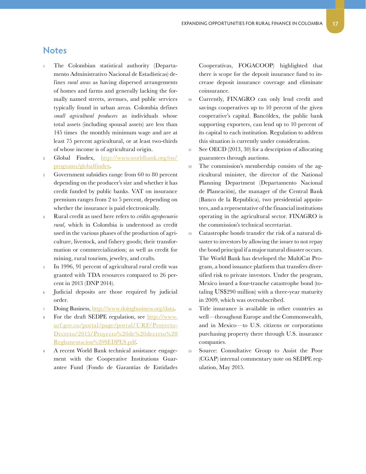#### <span id="page-22-0"></span>**Notes**

- The Colombian statistical authority (Departamento Administrativo Nacional de Estadísticas) defines *rural areas* as having dispersed arrangements of homes and farms and generally lacking the formally named streets, avenues, and public services typically found in urban areas. Colombia defines *small agricultural producers* as individuals whose total assets (including spousal assets) are less than 145 times the monthly minimum wage and are at least 75 percent agricultural, or at least two-thirds of whose income is of agricultural origin.
- <sup>2</sup> Global Findex, [http://www.worldbank.org/en/](http://www.worldbank.org/en/programs/globalfindex) [programs/globalfindex](http://www.worldbank.org/en/programs/globalfindex).
- <sup>3</sup> Government subsidies range from 60 to 80 percent depending on the producer's size and whether it has credit funded by public banks. VAT on insurance premium ranges from 2 to 5 percent, depending on whether the insurance is paid electronically.
- <sup>4</sup> Rural credit as used here refers to *crédito agropecuario rural*, which in Colombia is understood as credit used in the various phases of the production of agriculture, livestock, and fishery goods; their transformation or commercialization; as well as credit for mining, rural tourism, jewelry, and crafts.
- <sup>5</sup> In 1996, 91 percent of agricultural rural credit was granted with TDA resources compared to 26 percent in 2013 (DNP 2014).
- Judicial deposits are those required by judicial order.
- Doing Business, [http://www.doingbusiness.org/data.](http://www.doingbusiness.org/data)
- For the draft SEDPE regulation, see [http://www.](http://www.urf.gov.co/portal/page/portal/URF/ProyectoDecreto/2015/Proyecto%20de%20decreto%20Reglamen) [urf.gov.co/portal/page/portal/URF/Proyecto-](http://www.urf.gov.co/portal/page/portal/URF/ProyectoDecreto/2015/Proyecto%20de%20decreto%20Reglamen)[Decreto/2015/Proyecto%20de%20decreto%20](http://www.urf.gov.co/portal/page/portal/URF/ProyectoDecreto/2015/Proyecto%20de%20decreto%20Reglamen) [Reglamentacion%20SEDPES.pdf](http://www.urf.gov.co/portal/page/portal/URF/ProyectoDecreto/2015/Proyecto%20de%20decreto%20Reglamen).
- <sup>9</sup> A recent World Bank technical assistance engagement with the Cooperative Institutions Guarantee Fund (Fondo de Garantías de Entidades

Cooperativas, FOGACOOP) highlighted that there is scope for the deposit insurance fund to increase deposit insurance coverage and eliminate coinsurance.

- <sup>10</sup> Currently, FINAGRO can only lend credit and savings cooperatives up to 10 percent of the given cooperative's capital. Bancóldex, the public bank supporting exporters, can lend up to 10 percent of its capital to each institution. Regulation to address this situation is currently under consideration.
- <sup>11</sup> See OECD (2013, 30) for a description of allocating guarantees through auctions.
- <sup>12</sup> The commission's membership consists of the agricultural minister, the director of the National Planning Department (Departamento Nacional de Planeación), the manager of the Central Bank (Banco de la Republica), two presidential appointees, and a representative of the financial institutions operating in the agricultural sector. FINAGRO is the commission's technical secretariat.
- <sup>13</sup> Catastrophe bonds transfer the risk of a natural disaster to investors by allowing the issuer to not repay the bond principal if a major natural disaster occurs. The World Bank has developed the MultiCat Program, a bond issuance platform that transfers diversified risk to private investors. Under the program, Mexico issued a four-tranche catastrophe bond (totaling US\$290 million) with a three-year maturity in 2009, which was oversubscribed.
- <sup>14</sup> Title insurance is available in other countries as well—throughout Europe and the Commonwealth, and in Mexico—to U.S. citizens or corporations purchasing property there through U.S. insurance companies.
- <sup>15</sup> Source: Consultative Group to Assist the Poor (CGAP) internal commentary note on SEDPE regulation, May 2015.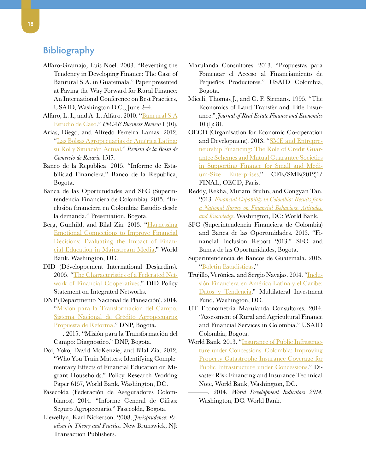### <span id="page-23-0"></span>**Bibliography**

- Alfaro-Gramajo, Luis Noel. 2003. "Reverting the Tendency in Developing Finance: The Case of Banrural S.A. in Guatemala." Paper presented at Paving the Way Forward for Rural Finance: An International Conference on Best Practices, USAID, Washington D.C., June 2–4.
- Alfaro, L. I., and A. L. Alfaro. 2010. "[Banrural S.A](http://www.academia.edu/16526061/Banrural_S.A._Case_Study) [Estudio de Caso](http://www.academia.edu/16526061/Banrural_S.A._Case_Study)." *INCAE Business Review* 1 (10).
- Arias, Diego, and Alfredo Ferreira Lamas. 2012. ["Las Bolsas Agropecuarias de América Latina:](https://www.bcr.com.ar/Pages/Publicaciones/inforevista.aspx?IdArticulo=163) [su Rol y Situación Actual.](https://www.bcr.com.ar/Pages/Publicaciones/inforevista.aspx?IdArticulo=163)" *Revista de la Bolsa de Comercio de Rosario* 1517.
- Banco de la Republica. 2015. "Informe de Estabilidad Financiera." Banco de la Republica, Bogota.
- Banca de las Oportunidades and SFC (Superintendencia Financiera de Colombia). 2015. "Inclusión financiera en Colombia: Estudio desde la demanda." Presentation, Bogota.
- Berg, Gunhild, and Bilal Zia. 2013. ["Harnessing](http://elibrary.worldbank.org/doi/abs/10.1596/1813-9450-6407) [Emotional Connections to Improve Financial](http://elibrary.worldbank.org/doi/abs/10.1596/1813-9450-6407) [Decisions: Evaluating the Impact of Finan](http://elibrary.worldbank.org/doi/abs/10.1596/1813-9450-6407)[cial Education in Mainstream Media.](http://elibrary.worldbank.org/doi/abs/10.1596/1813-9450-6407)" World Bank, Washington, DC.
- DID (Développement International Desjardins). 2005. "[The Characteristics of a Federated Net](http://www.did.qc.ca/media/documents/en/positionnements/DID-CharacteristicsCoop-May2005.pdf)[work of Financial Cooperatives](http://www.did.qc.ca/media/documents/en/positionnements/DID-CharacteristicsCoop-May2005.pdf)." DID Policy Statement on Integrated Networks.
- DNP (Departmento Nacional de Planeación). 2014. ["Mision para la Transformacion del Campo.](https://colaboracion.dnp.gov.co/CDT/Agriculturapecuarioforestal%20y%20pesca/Sistema%20Cr%C3%A9dito%20Agropecuario.pdf) [Sistema Nacional de Crédito Agropecuario:](https://colaboracion.dnp.gov.co/CDT/Agriculturapecuarioforestal%20y%20pesca/Sistema%20Cr%C3%A9dito%20Agropecuario.pdf) Propuesta de Reforma." DNP, Bogota.
	- [—](https://colaboracion.dnp.gov.co/CDT/Agriculturapecuarioforestal%20y%20pesca/Sistema%20Cr%C3%A9dito%20Agropecuario.pdf). 2015. "Misión para la Transformación del Campo: Diagnostico." DNP, Bogota.
- Doi, Yoko, David McKenzie, and Bilal Zia. 2012. "Who You Train Matters: Identifying Complementary Effects of Financial Education on Migrant Households." Policy Research Working Paper 6157, World Bank, Washington, DC.
- Fasecolda (Federación de Aseguradores Colombianos). 2014. "Informe General de Cifras: Seguro Agropecuario." Fasecolda, Bogota.
- Llewellyn, Karl Nickerson. 2008. *Jurisprudence: Realism in Theory and Practice.* New Brunswick, NJ: Transaction Publishers.
- Marulanda Consultores. 2013. "Propuestas para Fomentar el Acceso al Financiamiento de Pequeños Productores." USAID Colombia, Bogota.
- Miceli, Thomas J., and C. F. Sirmans. 1995. "The Economics of Land Transfer and Title Insurance." *Journal of Real Estate Finance and Economics* 10 (1): 81.
- OECD (Organisation for Economic Co-operation and Development). 2013. ["SME and Entrepre](http://www.oecd.org/officialdocuments/publicdisplaydocumentpdf/?cote=CFE/SME%282012%291/FINAL&docLanguage=En)[neurship Financing: The Role of Credit Guar](http://www.oecd.org/officialdocuments/publicdisplaydocumentpdf/?cote=CFE/SME%282012%291/FINAL&docLanguage=En)[antee Schemes and Mutual Guarantee Societies](http://www.oecd.org/officialdocuments/publicdisplaydocumentpdf/?cote=CFE/SME%282012%291/FINAL&docLanguage=En) [in Supporting Finance for Small and Medi](http://www.oecd.org/officialdocuments/publicdisplaydocumentpdf/?cote=CFE/SME%282012%291/FINAL&docLanguage=En)[um-Size Enterprises](http://www.oecd.org/officialdocuments/publicdisplaydocumentpdf/?cote=CFE/SME%282012%291/FINAL&docLanguage=En)." CFE/SME(2012)1/ FINAL, OECD, Paris.
- Reddy, Rekha, Miriam Bruhn, and Congyan Tan. 2013. *[Financial Capability in Colombia: Results from](http://www-wds.worldbank.org/external/default/WDSContentServer/WDSP/IB/2013/07/30/000356161_20130730154233/Rendered/PDF/ACS46980REVISE00in0Colombia0English.pdf)  [a National Survey on Financial Behaviors, Attitudes,](http://www-wds.worldbank.org/external/default/WDSContentServer/WDSP/IB/2013/07/30/000356161_20130730154233/Rendered/PDF/ACS46980REVISE00in0Colombia0English.pdf) [and Knowledge](http://www-wds.worldbank.org/external/default/WDSContentServer/WDSP/IB/2013/07/30/000356161_20130730154233/Rendered/PDF/ACS46980REVISE00in0Colombia0English.pdf)*. Washington, DC: World Bank.
- SFC (Superintendencia Financiera de Colombia) and Banca de las Oportunidades. 2013. "Financial Inclusion Report 2013." SFC and Banca de las Oportunidades, Bogota.
- Superintendencia de Bancos de Guatemala. 2015. ["Boletin Estadisticas.](http://www.sib.gob.gt/web/sib/informacionfinanciera/boletinestadisticas)"
- Trujillo, Verónica, and Sergio Navajas. 2014. ["Inclu](http://www.microfinancegateway.org/es/library/inclusi%C3%B3n-financiera-en-am%C3%A9rica-latina-y-el-caribe-datos-y-tendencias)[sión Financiera en América Latina y el Caribe:](http://www.microfinancegateway.org/es/library/inclusi%C3%B3n-financiera-en-am%C3%A9rica-latina-y-el-caribe-datos-y-tendencias)  [Datos y Tendencia.](http://www.microfinancegateway.org/es/library/inclusi%C3%B3n-financiera-en-am%C3%A9rica-latina-y-el-caribe-datos-y-tendencias)" Multilateral Investment Fund, Washington, DC.
- UT Econometria Marulanda Consultores. 2014. "Assessment of Rural and Agricultural Finance and Financial Services in Colombia." USAID Colombia, Bogota.
- World Bank. 2013. "Insurance of Public Infrastructure under Concessions. [Colombia: Improving](http://siteresources.worldbank.org/EXTDISASTER/Resources/8308420-1361321776050/Colombia_Concessions_Full_10Oct2013.pdf) [Property Catastrophe Insurance Coverage for](http://siteresources.worldbank.org/EXTDISASTER/Resources/8308420-1361321776050/Colombia_Concessions_Full_10Oct2013.pdf)  [Public Infrastructure under Concessions](http://siteresources.worldbank.org/EXTDISASTER/Resources/8308420-1361321776050/Colombia_Concessions_Full_10Oct2013.pdf)." Disaster Risk Financing and Insurance Technical Note, World Bank, Washington, DC.
	- —. 2014. *World Development Indicators 2014.*  Washington, DC: World Bank.